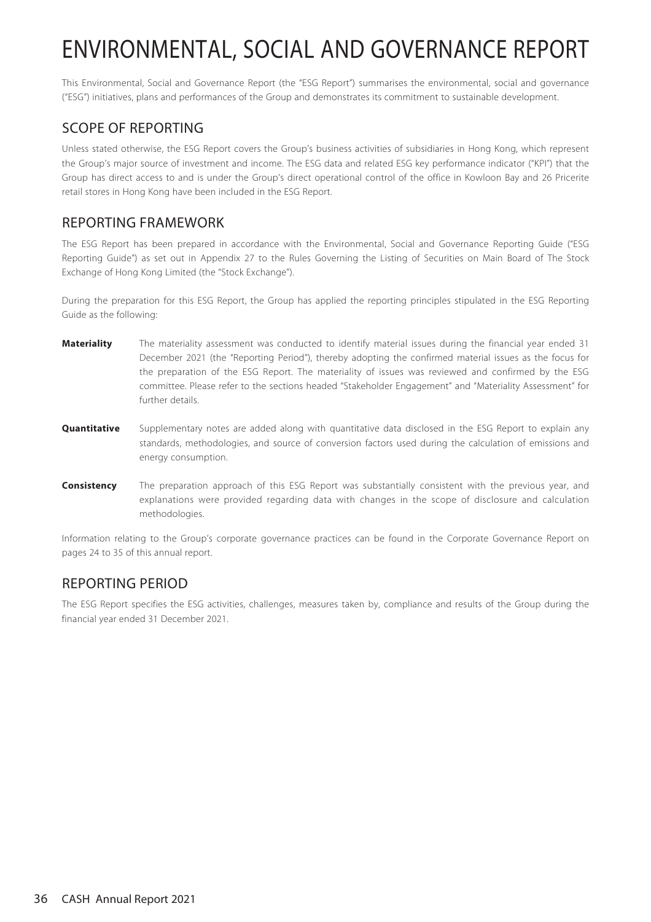This Environmental, Social and Governance Report (the "ESG Report") summarises the environmental, social and governance ("ESG") initiatives, plans and performances of the Group and demonstrates its commitment to sustainable development.

## SCOPE OF REPORTING

Unless stated otherwise, the ESG Report covers the Group's business activities of subsidiaries in Hong Kong, which represent the Group's major source of investment and income. The ESG data and related ESG key performance indicator ("KPI") that the Group has direct access to and is under the Group's direct operational control of the office in Kowloon Bay and 26 Pricerite retail stores in Hong Kong have been included in the ESG Report.

### REPORTING FRAMEWORK

The ESG Report has been prepared in accordance with the Environmental, Social and Governance Reporting Guide ("ESG Reporting Guide") as set out in Appendix 27 to the Rules Governing the Listing of Securities on Main Board of The Stock Exchange of Hong Kong Limited (the "Stock Exchange").

During the preparation for this ESG Report, the Group has applied the reporting principles stipulated in the ESG Reporting Guide as the following:

- **Materiality** The materiality assessment was conducted to identify material issues during the financial year ended 31 December 2021 (the "Reporting Period"), thereby adopting the confirmed material issues as the focus for the preparation of the ESG Report. The materiality of issues was reviewed and confirmed by the ESG committee. Please refer to the sections headed "Stakeholder Engagement" and "Materiality Assessment" for further details.
- **Quantitative** Supplementary notes are added along with quantitative data disclosed in the ESG Report to explain any standards, methodologies, and source of conversion factors used during the calculation of emissions and energy consumption.
- **Consistency** The preparation approach of this ESG Report was substantially consistent with the previous year, and explanations were provided regarding data with changes in the scope of disclosure and calculation methodologies.

Information relating to the Group's corporate governance practices can be found in the Corporate Governance Report on pages 24 to 35 of this annual report.

### REPORTING PERIOD

The ESG Report specifies the ESG activities, challenges, measures taken by, compliance and results of the Group during the financial year ended 31 December 2021.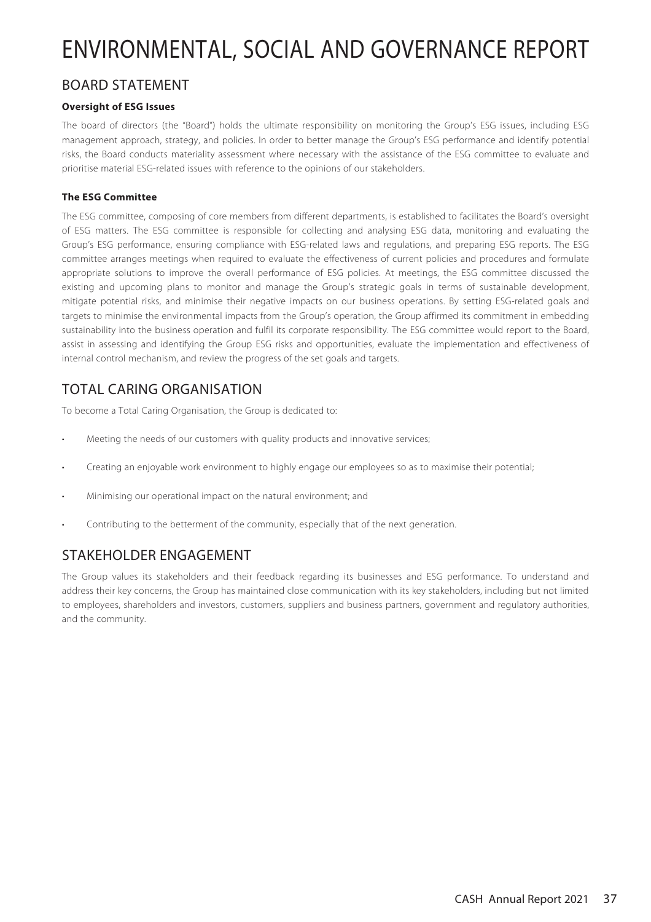### BOARD STATEMENT

### **Oversight of ESG Issues**

The board of directors (the "Board") holds the ultimate responsibility on monitoring the Group's ESG issues, including ESG management approach, strategy, and policies. In order to better manage the Group's ESG performance and identify potential risks, the Board conducts materiality assessment where necessary with the assistance of the ESG committee to evaluate and prioritise material ESG-related issues with reference to the opinions of our stakeholders.

### **The ESG Committee**

The ESG committee, composing of core members from different departments, is established to facilitates the Board's oversight of ESG matters. The ESG committee is responsible for collecting and analysing ESG data, monitoring and evaluating the Group's ESG performance, ensuring compliance with ESG-related laws and regulations, and preparing ESG reports. The ESG committee arranges meetings when required to evaluate the effectiveness of current policies and procedures and formulate appropriate solutions to improve the overall performance of ESG policies. At meetings, the ESG committee discussed the existing and upcoming plans to monitor and manage the Group's strategic goals in terms of sustainable development, mitigate potential risks, and minimise their negative impacts on our business operations. By setting ESG-related goals and targets to minimise the environmental impacts from the Group's operation, the Group affirmed its commitment in embedding sustainability into the business operation and fulfil its corporate responsibility. The ESG committee would report to the Board, assist in assessing and identifying the Group ESG risks and opportunities, evaluate the implementation and effectiveness of internal control mechanism, and review the progress of the set goals and targets.

## TOTAL CARING ORGANISATION

To become a Total Caring Organisation, the Group is dedicated to:

- Meeting the needs of our customers with quality products and innovative services;
- Creating an enjoyable work environment to highly engage our employees so as to maximise their potential;
- Minimising our operational impact on the natural environment; and
- Contributing to the betterment of the community, especially that of the next generation.

## STAKEHOLDER ENGAGEMENT

The Group values its stakeholders and their feedback regarding its businesses and ESG performance. To understand and address their key concerns, the Group has maintained close communication with its key stakeholders, including but not limited to employees, shareholders and investors, customers, suppliers and business partners, government and regulatory authorities, and the community.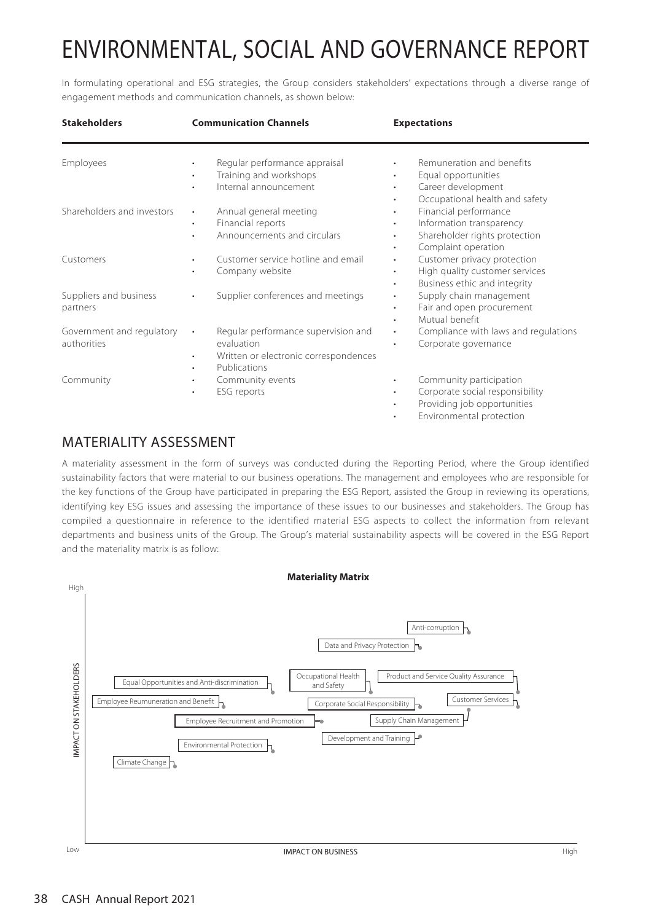In formulating operational and ESG strategies, the Group considers stakeholders' expectations through a diverse range of engagement methods and communication channels, as shown below:

| <b>Stakeholders</b>                      | <b>Communication Channels</b>                                                                                                        | <b>Expectations</b>                                                                                                                                                       |
|------------------------------------------|--------------------------------------------------------------------------------------------------------------------------------------|---------------------------------------------------------------------------------------------------------------------------------------------------------------------------|
| Employees                                | Regular performance appraisal<br>$\bullet$<br>Training and workshops<br>$\bullet$<br>Internal announcement<br>٠                      | Remuneration and benefits<br>Equal opportunities<br>$\bullet$<br>Career development<br>$\bullet$<br>Occupational health and safety<br>$\bullet$                           |
| Shareholders and investors               | Annual general meeting<br>$\bullet$<br>Financial reports<br>$\bullet$<br>Announcements and circulars                                 | Financial performance<br>$\bullet$<br>Information transparency<br>$\bullet$<br>Shareholder rights protection<br>$\bullet$<br>Complaint operation<br>$\bullet$             |
| Customers                                | Customer service hotline and email<br>Company website<br>٠                                                                           | Customer privacy protection<br>$\bullet$<br>High quality customer services<br>$\bullet$<br>Business ethic and integrity<br>$\bullet$                                      |
| Suppliers and business<br>partners       | Supplier conferences and meetings<br>$\bullet$                                                                                       | Supply chain management<br>$\bullet$<br>Fair and open procurement<br>$\bullet$<br>Mutual benefit<br>$\bullet$                                                             |
| Government and regulatory<br>authorities | Regular performance supervision and<br>evaluation<br>Written or electronic correspondences<br>$\bullet$<br>Publications<br>$\bullet$ | Compliance with laws and regulations<br>$\bullet$<br>Corporate governance<br>$\bullet$                                                                                    |
| Community                                | Community events<br>$\bullet$<br>ESG reports<br>$\bullet$                                                                            | Community participation<br>$\bullet$<br>Corporate social responsibility<br>$\bullet$<br>Providing job opportunities<br>$\bullet$<br>Environmental protection<br>$\bullet$ |

## MATERIALITY ASSESSMENT

A materiality assessment in the form of surveys was conducted during the Reporting Period, where the Group identified sustainability factors that were material to our business operations. The management and employees who are responsible for the key functions of the Group have participated in preparing the ESG Report, assisted the Group in reviewing its operations, identifying key ESG issues and assessing the importance of these issues to our businesses and stakeholders. The Group has compiled a questionnaire in reference to the identified material ESG aspects to collect the information from relevant departments and business units of the Group. The Group's material sustainability aspects will be covered in the ESG Report and the materiality matrix is as follow:



High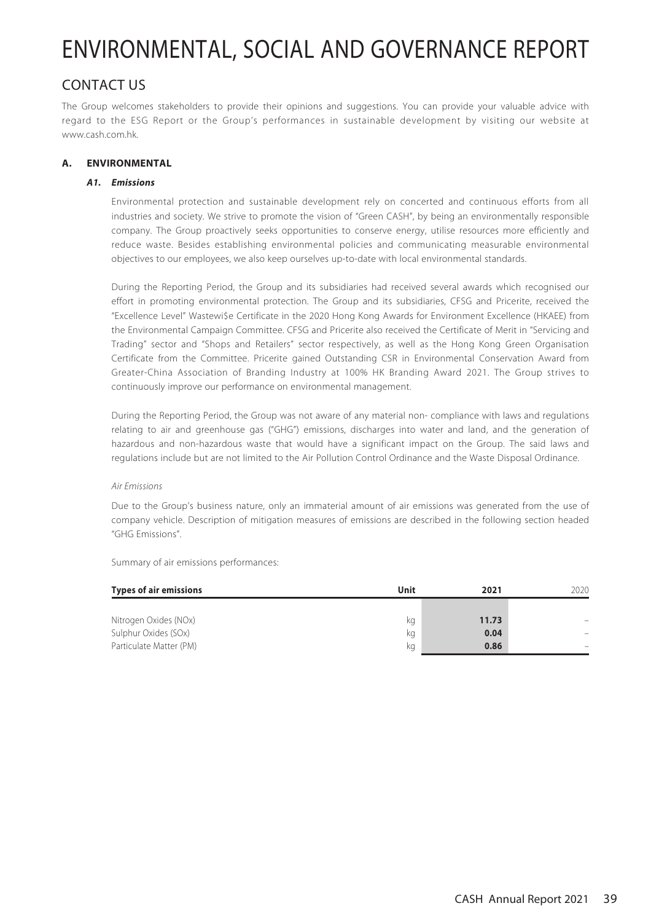### CONTACT US

The Group welcomes stakeholders to provide their opinions and suggestions. You can provide your valuable advice with regard to the ESG Report or the Group's performances in sustainable development by visiting our website at www.cash.com.hk.

### **A. ENVIRONMENTAL**

### **A1. Emissions**

Environmental protection and sustainable development rely on concerted and continuous efforts from all industries and society. We strive to promote the vision of "Green CASH", by being an environmentally responsible company. The Group proactively seeks opportunities to conserve energy, utilise resources more efficiently and reduce waste. Besides establishing environmental policies and communicating measurable environmental objectives to our employees, we also keep ourselves up-to-date with local environmental standards.

During the Reporting Period, the Group and its subsidiaries had received several awards which recognised our effort in promoting environmental protection. The Group and its subsidiaries, CFSG and Pricerite, received the "Excellence Level" Wastewi\$e Certificate in the 2020 Hong Kong Awards for Environment Excellence (HKAEE) from the Environmental Campaign Committee. CFSG and Pricerite also received the Certificate of Merit in "Servicing and Trading" sector and "Shops and Retailers" sector respectively, as well as the Hong Kong Green Organisation Certificate from the Committee. Pricerite gained Outstanding CSR in Environmental Conservation Award from Greater-China Association of Branding Industry at 100% HK Branding Award 2021. The Group strives to continuously improve our performance on environmental management.

During the Reporting Period, the Group was not aware of any material non- compliance with laws and regulations relating to air and greenhouse gas ("GHG") emissions, discharges into water and land, and the generation of hazardous and non-hazardous waste that would have a significant impact on the Group. The said laws and regulations include but are not limited to the Air Pollution Control Ordinance and the Waste Disposal Ordinance.

### Air Emissions

Due to the Group's business nature, only an immaterial amount of air emissions was generated from the use of company vehicle. Description of mitigation measures of emissions are described in the following section headed "GHG Emissions".

| <b>Types of air emissions</b> | Unit | 2021  | 2020 |
|-------------------------------|------|-------|------|
|                               |      |       |      |
| Nitrogen Oxides (NOx)         | kg   | 11.73 |      |
| Sulphur Oxides (SOx)          | kg   | 0.04  |      |
| Particulate Matter (PM)       | ka   | 0.86  |      |

Summary of air emissions performances: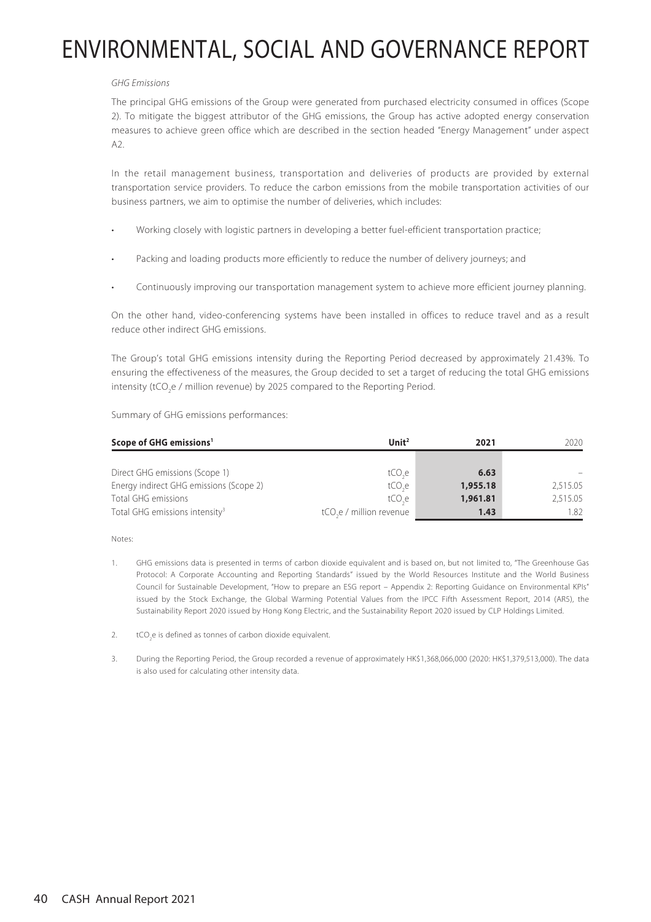### GHG Emissions

The principal GHG emissions of the Group were generated from purchased electricity consumed in offices (Scope 2). To mitigate the biggest attributor of the GHG emissions, the Group has active adopted energy conservation measures to achieve green office which are described in the section headed "Energy Management" under aspect  $A2$ 

In the retail management business, transportation and deliveries of products are provided by external transportation service providers. To reduce the carbon emissions from the mobile transportation activities of our business partners, we aim to optimise the number of deliveries, which includes:

- Working closely with logistic partners in developing a better fuel-efficient transportation practice;
- Packing and loading products more efficiently to reduce the number of delivery journeys; and
- Continuously improving our transportation management system to achieve more efficient journey planning.

On the other hand, video-conferencing systems have been installed in offices to reduce travel and as a result reduce other indirect GHG emissions.

The Group's total GHG emissions intensity during the Reporting Period decreased by approximately 21.43%. To ensuring the effectiveness of the measures, the Group decided to set a target of reducing the total GHG emissions intensity (tCO<sub>2</sub>e / million revenue) by 2025 compared to the Reporting Period.

Summary of GHG emissions performances:

| Scope of GHG emissions <sup>1</sup>        | Unit <sup>2</sup>                   | 2021     | 2020     |
|--------------------------------------------|-------------------------------------|----------|----------|
|                                            |                                     |          |          |
| Direct GHG emissions (Scope 1)             | tCO.e                               | 6.63     |          |
| Energy indirect GHG emissions (Scope 2)    | tCO.e                               | 1,955.18 | 2,515.05 |
| Total GHG emissions                        | tCO.e                               | 1,961.81 | 2,515.05 |
| Total GHG emissions intensity <sup>3</sup> | tCO <sub>se</sub> / million revenue | 1.43     | 1.82     |

Notes:

- 1. GHG emissions data is presented in terms of carbon dioxide equivalent and is based on, but not limited to, "The Greenhouse Gas Protocol: A Corporate Accounting and Reporting Standards" issued by the World Resources Institute and the World Business Council for Sustainable Development, "How to prepare an ESG report – Appendix 2: Reporting Guidance on Environmental KPIs" issued by the Stock Exchange, the Global Warming Potential Values from the IPCC Fifth Assessment Report, 2014 (AR5), the Sustainability Report 2020 issued by Hong Kong Electric, and the Sustainability Report 2020 issued by CLP Holdings Limited.
- 2.  $\text{tCO}_2$ e is defined as tonnes of carbon dioxide equivalent.
- 3. During the Reporting Period, the Group recorded a revenue of approximately HK\$1,368,066,000 (2020: HK\$1,379,513,000). The data is also used for calculating other intensity data.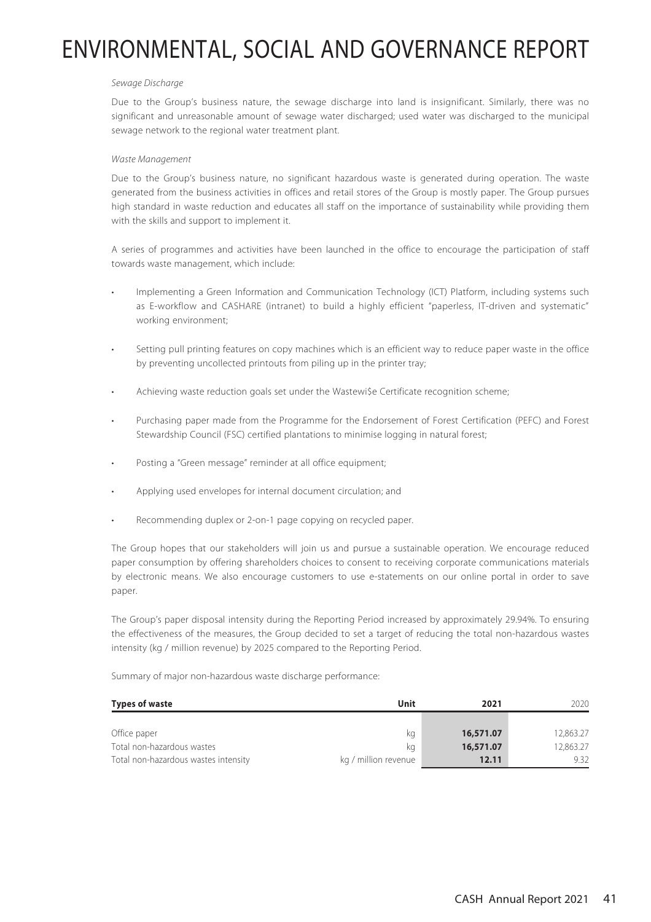#### Sewage Discharge

Due to the Group's business nature, the sewage discharge into land is insignificant. Similarly, there was no significant and unreasonable amount of sewage water discharged; used water was discharged to the municipal sewage network to the regional water treatment plant.

#### Waste Management

Due to the Group's business nature, no significant hazardous waste is generated during operation. The waste generated from the business activities in offices and retail stores of the Group is mostly paper. The Group pursues high standard in waste reduction and educates all staff on the importance of sustainability while providing them with the skills and support to implement it.

A series of programmes and activities have been launched in the office to encourage the participation of staff towards waste management, which include:

- Implementing a Green Information and Communication Technology (ICT) Platform, including systems such as E-workflow and CASHARE (intranet) to build a highly efficient "paperless, IT-driven and systematic" working environment;
- Setting pull printing features on copy machines which is an efficient way to reduce paper waste in the office by preventing uncollected printouts from piling up in the printer tray;
- Achieving waste reduction goals set under the Wastewi\$e Certificate recognition scheme;
- Purchasing paper made from the Programme for the Endorsement of Forest Certification (PEFC) and Forest Stewardship Council (FSC) certified plantations to minimise logging in natural forest;
- Posting a "Green message" reminder at all office equipment;
- Applying used envelopes for internal document circulation; and
- Recommending duplex or 2-on-1 page copying on recycled paper.

The Group hopes that our stakeholders will join us and pursue a sustainable operation. We encourage reduced paper consumption by offering shareholders choices to consent to receiving corporate communications materials by electronic means. We also encourage customers to use e-statements on our online portal in order to save paper.

The Group's paper disposal intensity during the Reporting Period increased by approximately 29.94%. To ensuring the effectiveness of the measures, the Group decided to set a target of reducing the total non-hazardous wastes intensity (kg / million revenue) by 2025 compared to the Reporting Period.

Summary of major non-hazardous waste discharge performance:

| <b>Types of waste</b>                | Unit                 | 2021      | 2020.     |
|--------------------------------------|----------------------|-----------|-----------|
|                                      |                      |           |           |
| Office paper                         | ka                   | 16,571.07 | 12,863.27 |
| Total non-hazardous wastes           | ka                   | 16,571.07 | 12,863.27 |
| Total non-hazardous wastes intensity | kg / million revenue | 12.11     | 9.32      |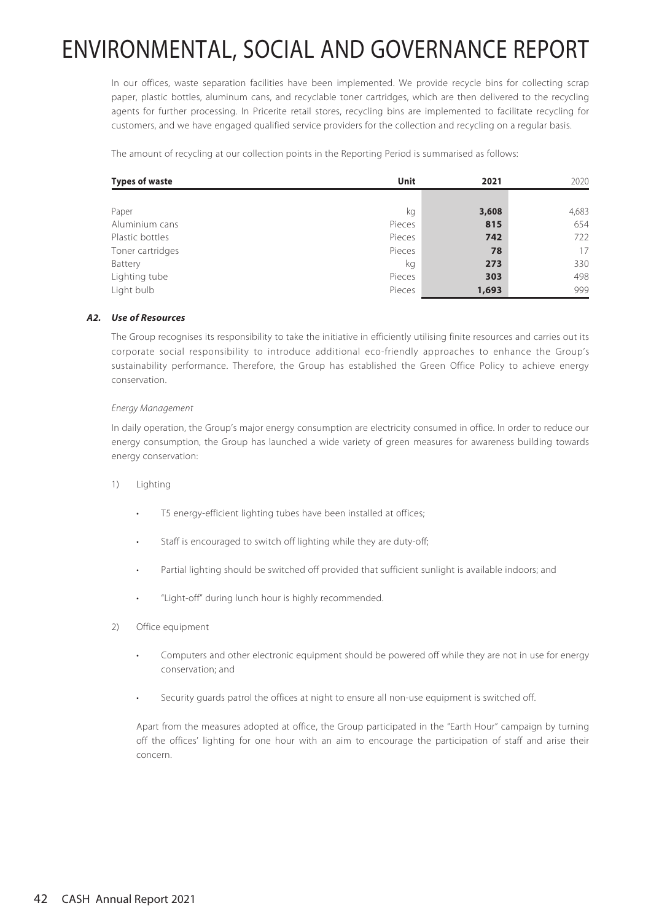In our offices, waste separation facilities have been implemented. We provide recycle bins for collecting scrap paper, plastic bottles, aluminum cans, and recyclable toner cartridges, which are then delivered to the recycling agents for further processing. In Pricerite retail stores, recycling bins are implemented to facilitate recycling for customers, and we have engaged qualified service providers for the collection and recycling on a regular basis.

The amount of recycling at our collection points in the Reporting Period is summarised as follows:

| <b>Types of waste</b> | Unit   | 2021  | 2020  |
|-----------------------|--------|-------|-------|
|                       |        |       |       |
| Paper                 | kg     | 3,608 | 4,683 |
| Aluminium cans        | Pieces | 815   | 654   |
| Plastic bottles       | Pieces | 742   | 722   |
| Toner cartridges      | Pieces | 78    | 17    |
| Battery               | kg     | 273   | 330   |
| Lighting tube         | Pieces | 303   | 498   |
| Light bulb            | Pieces | 1,693 | 999   |

### **A2. Use of Resources**

The Group recognises its responsibility to take the initiative in efficiently utilising finite resources and carries out its corporate social responsibility to introduce additional eco-friendly approaches to enhance the Group's sustainability performance. Therefore, the Group has established the Green Office Policy to achieve energy conservation.

#### Energy Management

In daily operation, the Group's major energy consumption are electricity consumed in office. In order to reduce our energy consumption, the Group has launched a wide variety of green measures for awareness building towards energy conservation:

- 1) Lighting
	- T5 energy-efficient lighting tubes have been installed at offices;
	- Staff is encouraged to switch off lighting while they are duty-off;
	- Partial lighting should be switched off provided that sufficient sunlight is available indoors; and
	- "Light-off" during lunch hour is highly recommended.
- 2) Office equipment
	- Computers and other electronic equipment should be powered off while they are not in use for energy conservation; and
	- Security guards patrol the offices at night to ensure all non-use equipment is switched off.

Apart from the measures adopted at office, the Group participated in the "Earth Hour" campaign by turning off the offices' lighting for one hour with an aim to encourage the participation of staff and arise their concern.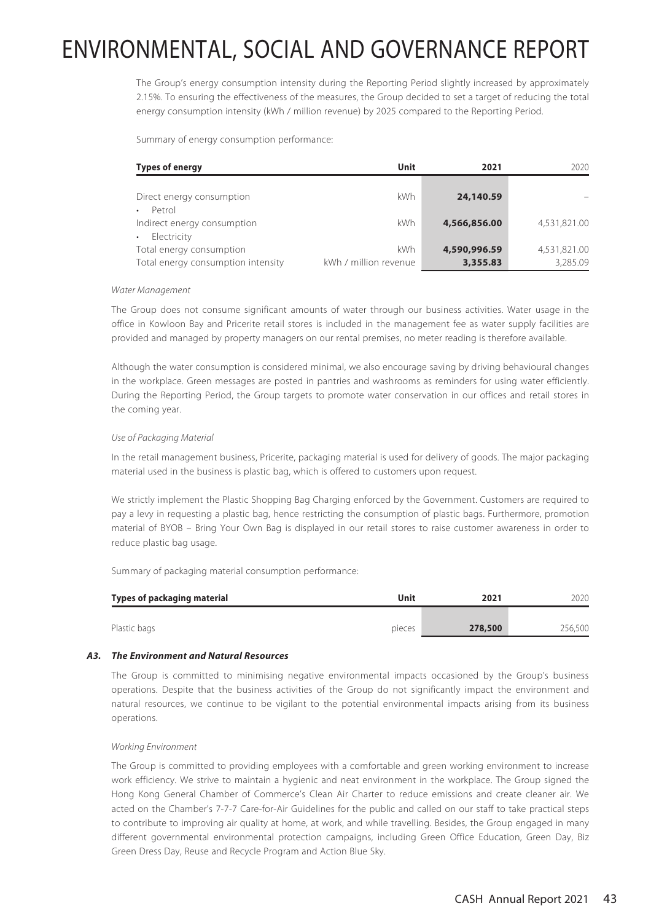The Group's energy consumption intensity during the Reporting Period slightly increased by approximately 2.15%. To ensuring the effectiveness of the measures, the Group decided to set a target of reducing the total energy consumption intensity (kWh / million revenue) by 2025 compared to the Reporting Period.

Summary of energy consumption performance:

| <b>Types of energy</b>                                         | Unit                         | 2021                     | 2020                     |
|----------------------------------------------------------------|------------------------------|--------------------------|--------------------------|
| Direct energy consumption<br>Petrol                            | <b>kWh</b>                   | 24,140.59                |                          |
| Indirect energy consumption<br>Electricity                     | kWh                          | 4,566,856.00             | 4,531,821.00             |
| Total energy consumption<br>Total energy consumption intensity | kWh<br>kWh / million revenue | 4,590,996.59<br>3,355.83 | 4,531,821.00<br>3.285.09 |

#### Water Management

The Group does not consume significant amounts of water through our business activities. Water usage in the office in Kowloon Bay and Pricerite retail stores is included in the management fee as water supply facilities are provided and managed by property managers on our rental premises, no meter reading is therefore available.

Although the water consumption is considered minimal, we also encourage saving by driving behavioural changes in the workplace. Green messages are posted in pantries and washrooms as reminders for using water efficiently. During the Reporting Period, the Group targets to promote water conservation in our offices and retail stores in the coming year.

#### Use of Packaging Material

In the retail management business, Pricerite, packaging material is used for delivery of goods. The major packaging material used in the business is plastic bag, which is offered to customers upon request.

We strictly implement the Plastic Shopping Bag Charging enforced by the Government. Customers are required to pay a levy in requesting a plastic bag, hence restricting the consumption of plastic bags. Furthermore, promotion material of BYOB – Bring Your Own Bag is displayed in our retail stores to raise customer awareness in order to reduce plastic bag usage.

Summary of packaging material consumption performance:

| Types of packaging material | Unit   | 2021    | 2020    |
|-----------------------------|--------|---------|---------|
|                             |        |         |         |
| Plastic bags                | pieces | 278,500 | 256,500 |

#### **A3. The Environment and Natural Resources**

The Group is committed to minimising negative environmental impacts occasioned by the Group's business operations. Despite that the business activities of the Group do not significantly impact the environment and natural resources, we continue to be vigilant to the potential environmental impacts arising from its business operations.

#### Working Environment

The Group is committed to providing employees with a comfortable and green working environment to increase work efficiency. We strive to maintain a hygienic and neat environment in the workplace. The Group signed the Hong Kong General Chamber of Commerce's Clean Air Charter to reduce emissions and create cleaner air. We acted on the Chamber's 7-7-7 Care-for-Air Guidelines for the public and called on our staff to take practical steps to contribute to improving air quality at home, at work, and while travelling. Besides, the Group engaged in many different governmental environmental protection campaigns, including Green Office Education, Green Day, Biz Green Dress Day, Reuse and Recycle Program and Action Blue Sky.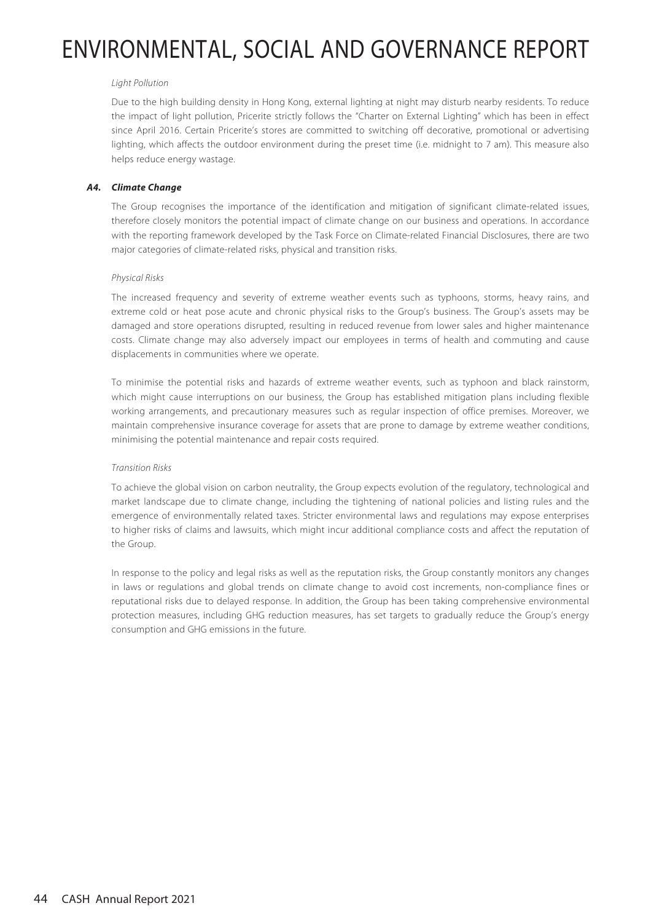#### Light Pollution

Due to the high building density in Hong Kong, external lighting at night may disturb nearby residents. To reduce the impact of light pollution, Pricerite strictly follows the "Charter on External Lighting" which has been in effect since April 2016. Certain Pricerite's stores are committed to switching off decorative, promotional or advertising lighting, which affects the outdoor environment during the preset time (i.e. midnight to 7 am). This measure also helps reduce energy wastage.

#### **A4. Climate Change**

The Group recognises the importance of the identification and mitigation of significant climate-related issues, therefore closely monitors the potential impact of climate change on our business and operations. In accordance with the reporting framework developed by the Task Force on Climate-related Financial Disclosures, there are two major categories of climate-related risks, physical and transition risks.

#### Physical Risks

The increased frequency and severity of extreme weather events such as typhoons, storms, heavy rains, and extreme cold or heat pose acute and chronic physical risks to the Group's business. The Group's assets may be damaged and store operations disrupted, resulting in reduced revenue from lower sales and higher maintenance costs. Climate change may also adversely impact our employees in terms of health and commuting and cause displacements in communities where we operate.

To minimise the potential risks and hazards of extreme weather events, such as typhoon and black rainstorm, which might cause interruptions on our business, the Group has established mitigation plans including flexible working arrangements, and precautionary measures such as regular inspection of office premises. Moreover, we maintain comprehensive insurance coverage for assets that are prone to damage by extreme weather conditions, minimising the potential maintenance and repair costs required.

#### Transition Risks

To achieve the global vision on carbon neutrality, the Group expects evolution of the regulatory, technological and market landscape due to climate change, including the tightening of national policies and listing rules and the emergence of environmentally related taxes. Stricter environmental laws and regulations may expose enterprises to higher risks of claims and lawsuits, which might incur additional compliance costs and affect the reputation of the Group.

In response to the policy and legal risks as well as the reputation risks, the Group constantly monitors any changes in laws or regulations and global trends on climate change to avoid cost increments, non-compliance fines or reputational risks due to delayed response. In addition, the Group has been taking comprehensive environmental protection measures, including GHG reduction measures, has set targets to gradually reduce the Group's energy consumption and GHG emissions in the future.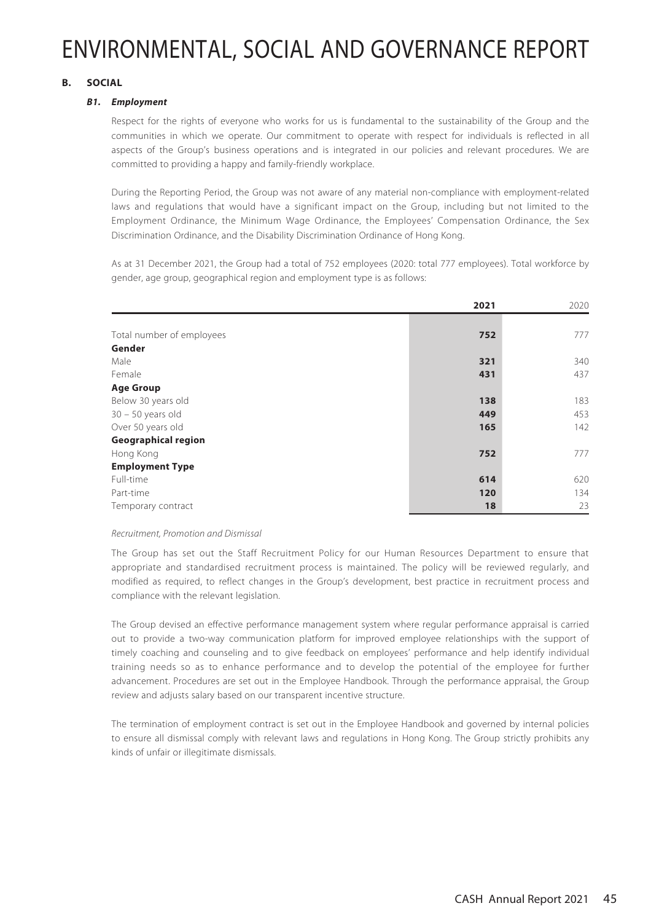### **B. SOCIAL**

### **B1. Employment**

Respect for the rights of everyone who works for us is fundamental to the sustainability of the Group and the communities in which we operate. Our commitment to operate with respect for individuals is reflected in all aspects of the Group's business operations and is integrated in our policies and relevant procedures. We are committed to providing a happy and family-friendly workplace.

During the Reporting Period, the Group was not aware of any material non-compliance with employment-related laws and regulations that would have a significant impact on the Group, including but not limited to the Employment Ordinance, the Minimum Wage Ordinance, the Employees' Compensation Ordinance, the Sex Discrimination Ordinance, and the Disability Discrimination Ordinance of Hong Kong.

As at 31 December 2021, the Group had a total of 752 employees (2020: total 777 employees). Total workforce by gender, age group, geographical region and employment type is as follows:

|                            | 2021 | 2020 |
|----------------------------|------|------|
|                            |      |      |
| Total number of employees  | 752  | 777  |
| Gender                     |      |      |
| Male                       | 321  | 340  |
| Female                     | 431  | 437  |
| <b>Age Group</b>           |      |      |
| Below 30 years old         | 138  | 183  |
| $30 - 50$ years old        | 449  | 453  |
| Over 50 years old          | 165  | 142  |
| <b>Geographical region</b> |      |      |
| Hong Kong                  | 752  | 777  |
| <b>Employment Type</b>     |      |      |
| Full-time                  | 614  | 620  |
| Part-time                  | 120  | 134  |
| Temporary contract         | 18   | 23   |

#### Recruitment, Promotion and Dismissal

The Group has set out the Staff Recruitment Policy for our Human Resources Department to ensure that appropriate and standardised recruitment process is maintained. The policy will be reviewed regularly, and modified as required, to reflect changes in the Group's development, best practice in recruitment process and compliance with the relevant legislation.

The Group devised an effective performance management system where regular performance appraisal is carried out to provide a two-way communication platform for improved employee relationships with the support of timely coaching and counseling and to give feedback on employees' performance and help identify individual training needs so as to enhance performance and to develop the potential of the employee for further advancement. Procedures are set out in the Employee Handbook. Through the performance appraisal, the Group review and adjusts salary based on our transparent incentive structure.

The termination of employment contract is set out in the Employee Handbook and governed by internal policies to ensure all dismissal comply with relevant laws and regulations in Hong Kong. The Group strictly prohibits any kinds of unfair or illegitimate dismissals.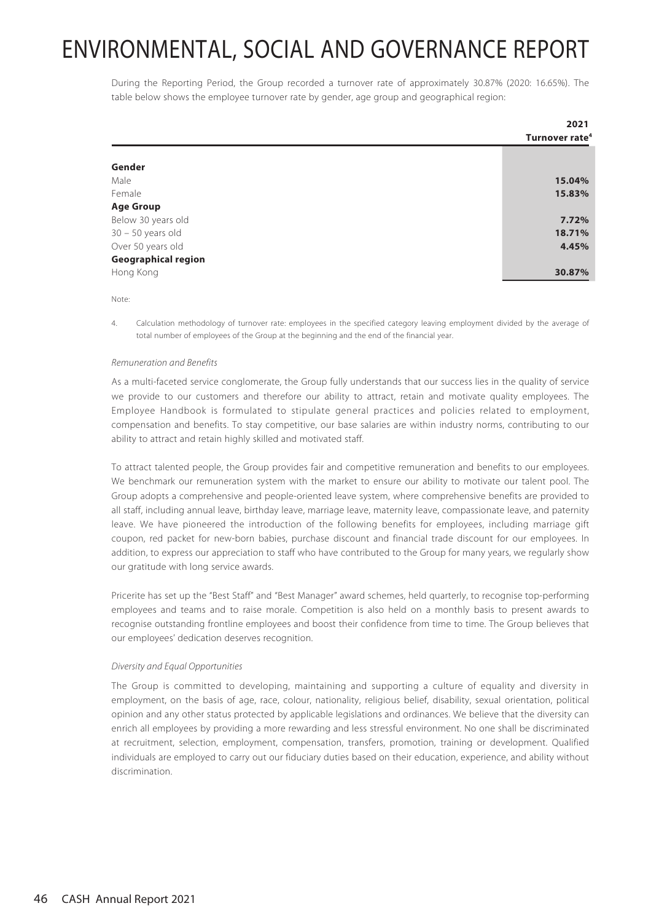During the Reporting Period, the Group recorded a turnover rate of approximately 30.87% (2020: 16.65%). The table below shows the employee turnover rate by gender, age group and geographical region:

|                            | 2021                       |
|----------------------------|----------------------------|
|                            | Turnover rate <sup>4</sup> |
|                            |                            |
| Gender                     |                            |
| Male                       | 15.04%                     |
| Female                     | 15.83%                     |
| <b>Age Group</b>           |                            |
| Below 30 years old         | 7.72%                      |
| $30 - 50$ years old        | 18.71%                     |
| Over 50 years old          | 4.45%                      |
| <b>Geographical region</b> |                            |
| Hong Kong                  | 30.87%                     |

Note:

4. Calculation methodology of turnover rate: employees in the specified category leaving employment divided by the average of total number of employees of the Group at the beginning and the end of the financial year.

#### Remuneration and Benefits

As a multi-faceted service conglomerate, the Group fully understands that our success lies in the quality of service we provide to our customers and therefore our ability to attract, retain and motivate quality employees. The Employee Handbook is formulated to stipulate general practices and policies related to employment, compensation and benefits. To stay competitive, our base salaries are within industry norms, contributing to our ability to attract and retain highly skilled and motivated staff.

To attract talented people, the Group provides fair and competitive remuneration and benefits to our employees. We benchmark our remuneration system with the market to ensure our ability to motivate our talent pool. The Group adopts a comprehensive and people-oriented leave system, where comprehensive benefits are provided to all staff, including annual leave, birthday leave, marriage leave, maternity leave, compassionate leave, and paternity leave. We have pioneered the introduction of the following benefits for employees, including marriage gift coupon, red packet for new-born babies, purchase discount and financial trade discount for our employees. In addition, to express our appreciation to staff who have contributed to the Group for many years, we regularly show our gratitude with long service awards.

Pricerite has set up the "Best Staff" and "Best Manager" award schemes, held quarterly, to recognise top-performing employees and teams and to raise morale. Competition is also held on a monthly basis to present awards to recognise outstanding frontline employees and boost their confidence from time to time. The Group believes that our employees' dedication deserves recognition.

#### Diversity and Equal Opportunities

The Group is committed to developing, maintaining and supporting a culture of equality and diversity in employment, on the basis of age, race, colour, nationality, religious belief, disability, sexual orientation, political opinion and any other status protected by applicable legislations and ordinances. We believe that the diversity can enrich all employees by providing a more rewarding and less stressful environment. No one shall be discriminated at recruitment, selection, employment, compensation, transfers, promotion, training or development. Qualified individuals are employed to carry out our fiduciary duties based on their education, experience, and ability without discrimination.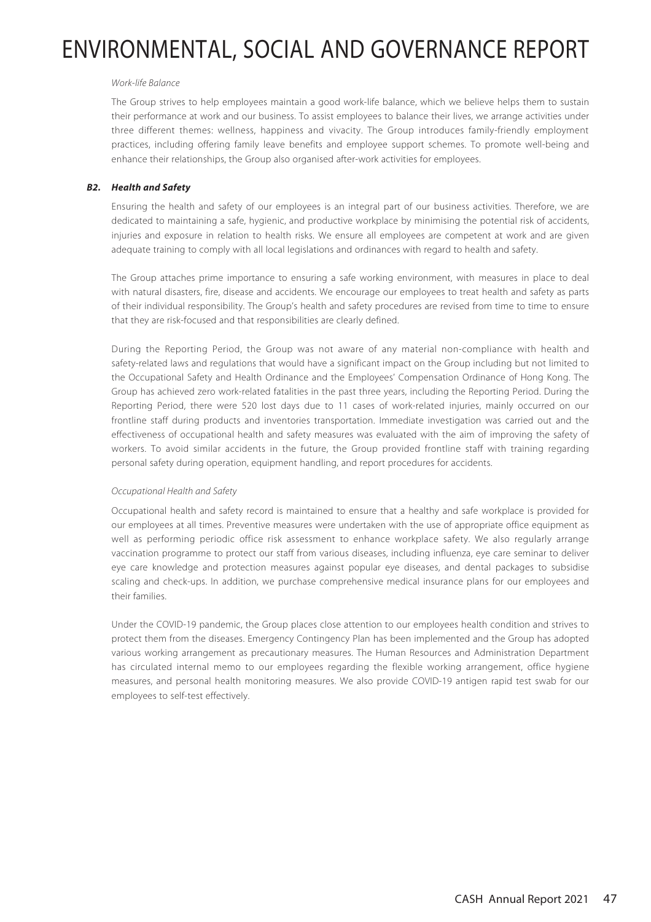#### Work-life Balance

The Group strives to help employees maintain a good work-life balance, which we believe helps them to sustain their performance at work and our business. To assist employees to balance their lives, we arrange activities under three different themes: wellness, happiness and vivacity. The Group introduces family-friendly employment practices, including offering family leave benefits and employee support schemes. To promote well-being and enhance their relationships, the Group also organised after-work activities for employees.

### **B2. Health and Safety**

Ensuring the health and safety of our employees is an integral part of our business activities. Therefore, we are dedicated to maintaining a safe, hygienic, and productive workplace by minimising the potential risk of accidents, injuries and exposure in relation to health risks. We ensure all employees are competent at work and are given adequate training to comply with all local legislations and ordinances with regard to health and safety.

The Group attaches prime importance to ensuring a safe working environment, with measures in place to deal with natural disasters, fire, disease and accidents. We encourage our employees to treat health and safety as parts of their individual responsibility. The Group's health and safety procedures are revised from time to time to ensure that they are risk-focused and that responsibilities are clearly defined.

During the Reporting Period, the Group was not aware of any material non-compliance with health and safety-related laws and regulations that would have a significant impact on the Group including but not limited to the Occupational Safety and Health Ordinance and the Employees' Compensation Ordinance of Hong Kong. The Group has achieved zero work-related fatalities in the past three years, including the Reporting Period. During the Reporting Period, there were 520 lost days due to 11 cases of work-related injuries, mainly occurred on our frontline staff during products and inventories transportation. Immediate investigation was carried out and the effectiveness of occupational health and safety measures was evaluated with the aim of improving the safety of workers. To avoid similar accidents in the future, the Group provided frontline staff with training regarding personal safety during operation, equipment handling, and report procedures for accidents.

#### Occupational Health and Safety

Occupational health and safety record is maintained to ensure that a healthy and safe workplace is provided for our employees at all times. Preventive measures were undertaken with the use of appropriate office equipment as well as performing periodic office risk assessment to enhance workplace safety. We also regularly arrange vaccination programme to protect our staff from various diseases, including influenza, eye care seminar to deliver eye care knowledge and protection measures against popular eye diseases, and dental packages to subsidise scaling and check-ups. In addition, we purchase comprehensive medical insurance plans for our employees and their families.

Under the COVID-19 pandemic, the Group places close attention to our employees health condition and strives to protect them from the diseases. Emergency Contingency Plan has been implemented and the Group has adopted various working arrangement as precautionary measures. The Human Resources and Administration Department has circulated internal memo to our employees regarding the flexible working arrangement, office hygiene measures, and personal health monitoring measures. We also provide COVID-19 antigen rapid test swab for our employees to self-test effectively.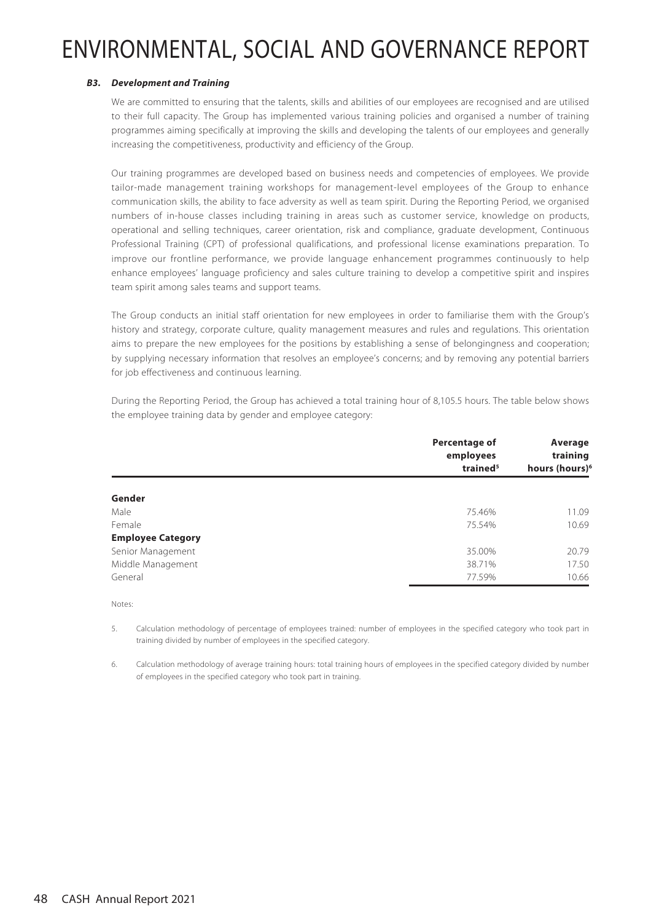### **B3. Development and Training**

We are committed to ensuring that the talents, skills and abilities of our employees are recognised and are utilised to their full capacity. The Group has implemented various training policies and organised a number of training programmes aiming specifically at improving the skills and developing the talents of our employees and generally increasing the competitiveness, productivity and efficiency of the Group.

Our training programmes are developed based on business needs and competencies of employees. We provide tailor-made management training workshops for management-level employees of the Group to enhance communication skills, the ability to face adversity as well as team spirit. During the Reporting Period, we organised numbers of in-house classes including training in areas such as customer service, knowledge on products, operational and selling techniques, career orientation, risk and compliance, graduate development, Continuous Professional Training (CPT) of professional qualifications, and professional license examinations preparation. To improve our frontline performance, we provide language enhancement programmes continuously to help enhance employees' language proficiency and sales culture training to develop a competitive spirit and inspires team spirit among sales teams and support teams.

The Group conducts an initial staff orientation for new employees in order to familiarise them with the Group's history and strategy, corporate culture, quality management measures and rules and regulations. This orientation aims to prepare the new employees for the positions by establishing a sense of belongingness and cooperation; by supplying necessary information that resolves an employee's concerns; and by removing any potential barriers for job effectiveness and continuous learning.

During the Reporting Period, the Group has achieved a total training hour of 8,105.5 hours. The table below shows the employee training data by gender and employee category:

| Percentage of<br>employees | Average<br>training        |  |
|----------------------------|----------------------------|--|
| trained <sup>5</sup>       | hours (hours) <sup>6</sup> |  |
|                            |                            |  |
| 75.46%                     | 11.09                      |  |
| 75.54%                     | 10.69                      |  |
|                            |                            |  |
| 35.00%                     | 20.79                      |  |
| 38.71%                     | 17.50                      |  |
| 77.59%                     | 10.66                      |  |
|                            |                            |  |

Notes:

5. Calculation methodology of percentage of employees trained: number of employees in the specified category who took part in training divided by number of employees in the specified category.

6. Calculation methodology of average training hours: total training hours of employees in the specified category divided by number of employees in the specified category who took part in training.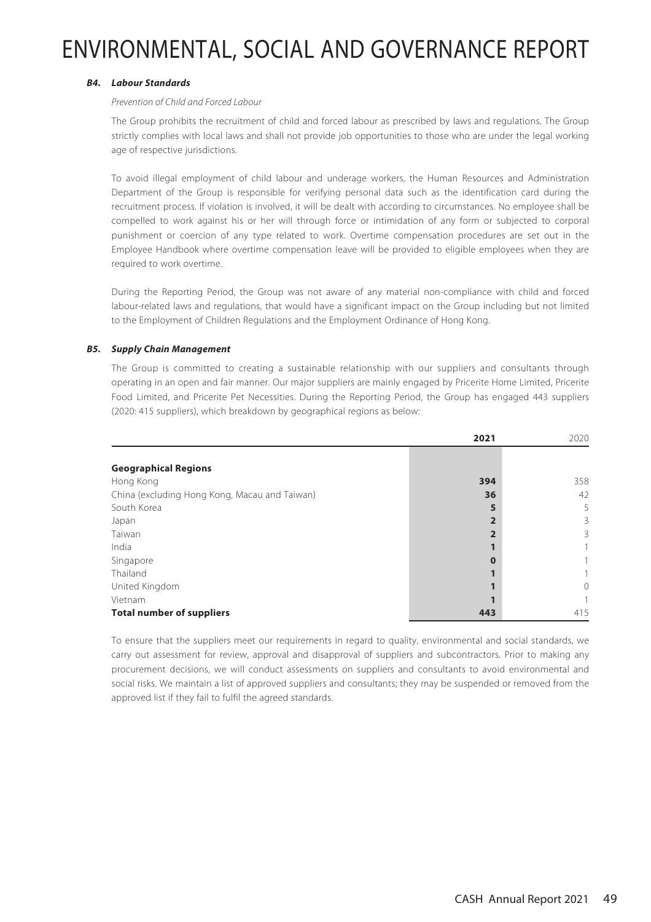### **B4. Labour Standards**

#### Prevention of Child and Forced Labour

The Group prohibits the recruitment of child and forced labour as prescribed by laws and regulations. The Group strictly complies with local laws and shall not provide job opportunities to those who are under the legal working age of respective jurisdictions.

To avoid illegal employment of child labour and underage workers, the Human Resources and Administration Department of the Group is responsible for verifying personal data such as the identification card during the recruitment process. If violation is involved, it will be dealt with according to circumstances. No employee shall be compelled to work against his or her will through force or intimidation of any form or subjected to corporal punishment or coercion of any type related to work. Overtime compensation procedures are set out in the Employee Handbook where overtime compensation leave will be provided to eligible employees when they are required to work overtime.

During the Reporting Period, the Group was not aware of any material non-compliance with child and forced labour-related laws and regulations, that would have a significant impact on the Group including but not limited to the Employment of Children Regulations and the Employment Ordinance of Hong Kong.

### **B5. Supply Chain Management**

The Group is committed to creating a sustainable relationship with our suppliers and consultants through operating in an open and fair manner. Our major suppliers are mainly engaged by Pricerite Home Limited, Pricerite Food Limited, and Pricerite Pet Necessities. During the Reporting Period, the Group has engaged 443 suppliers (2020: 415 suppliers), which breakdown by geographical regions as below:

|                                               | 2021 | 2020     |
|-----------------------------------------------|------|----------|
|                                               |      |          |
| <b>Geographical Regions</b>                   |      |          |
| Hong Kong                                     | 394  | 358      |
| China (excluding Hong Kong, Macau and Taiwan) | 36   | 42       |
| South Korea                                   |      | 5        |
| Japan                                         |      | 3        |
| Taiwan                                        |      | 3        |
| India                                         |      |          |
| Singapore                                     |      |          |
| Thailand                                      |      |          |
| United Kingdom                                |      | $\Omega$ |
| Vietnam                                       |      |          |
| <b>Total number of suppliers</b>              | 443  | 415      |

To ensure that the suppliers meet our requirements in regard to quality, environmental and social standards, we carry out assessment for review, approval and disapproval of suppliers and subcontractors. Prior to making any procurement decisions, we will conduct assessments on suppliers and consultants to avoid environmental and social risks. We maintain a list of approved suppliers and consultants; they may be suspended or removed from the approved list if they fail to fulfil the agreed standards.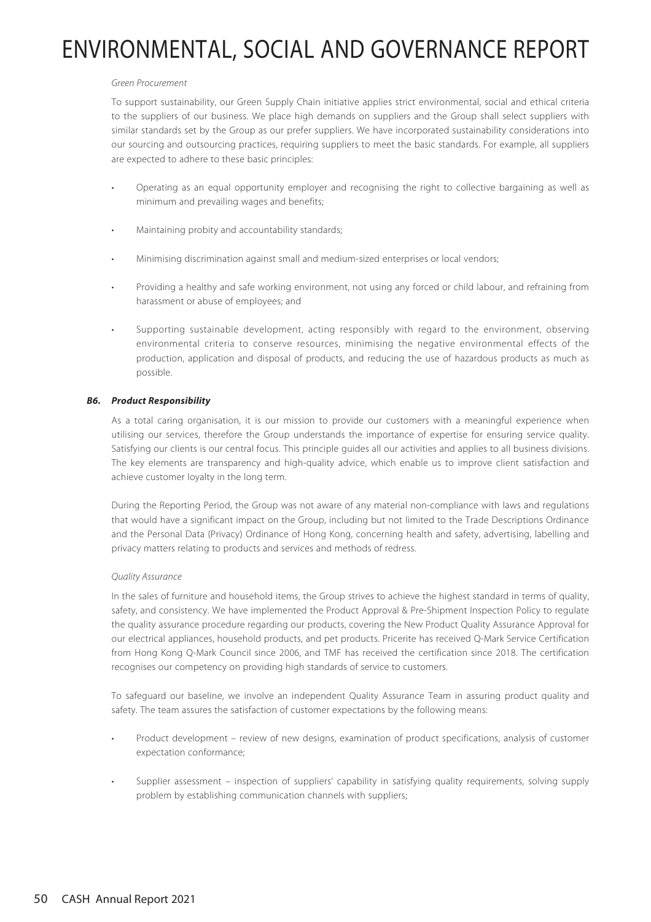#### Green Procurement

To support sustainability, our Green Supply Chain initiative applies strict environmental, social and ethical criteria to the suppliers of our business. We place high demands on suppliers and the Group shall select suppliers with similar standards set by the Group as our prefer suppliers. We have incorporated sustainability considerations into our sourcing and outsourcing practices, requiring suppliers to meet the basic standards. For example, all suppliers are expected to adhere to these basic principles:

- Operating as an equal opportunity employer and recognising the right to collective bargaining as well as minimum and prevailing wages and benefits;
- Maintaining probity and accountability standards;
- Minimising discrimination against small and medium-sized enterprises or local vendors;
- Providing a healthy and safe working environment, not using any forced or child labour, and refraining from harassment or abuse of employees; and
- Supporting sustainable development, acting responsibly with regard to the environment, observing environmental criteria to conserve resources, minimising the negative environmental effects of the production, application and disposal of products, and reducing the use of hazardous products as much as possible.

### **B6. Product Responsibility**

As a total caring organisation, it is our mission to provide our customers with a meaningful experience when utilising our services, therefore the Group understands the importance of expertise for ensuring service quality. Satisfying our clients is our central focus. This principle guides all our activities and applies to all business divisions. The key elements are transparency and high-quality advice, which enable us to improve client satisfaction and achieve customer loyalty in the long term.

During the Reporting Period, the Group was not aware of any material non-compliance with laws and regulations that would have a significant impact on the Group, including but not limited to the Trade Descriptions Ordinance and the Personal Data (Privacy) Ordinance of Hong Kong, concerning health and safety, advertising, labelling and privacy matters relating to products and services and methods of redress.

#### Quality Assurance

In the sales of furniture and household items, the Group strives to achieve the highest standard in terms of quality, safety, and consistency. We have implemented the Product Approval & Pre-Shipment Inspection Policy to regulate the quality assurance procedure regarding our products, covering the New Product Quality Assurance Approval for our electrical appliances, household products, and pet products. Pricerite has received Q-Mark Service Certification from Hong Kong Q-Mark Council since 2006, and TMF has received the certification since 2018. The certification recognises our competency on providing high standards of service to customers.

To safeguard our baseline, we involve an independent Quality Assurance Team in assuring product quality and safety. The team assures the satisfaction of customer expectations by the following means:

- Product development review of new designs, examination of product specifications, analysis of customer expectation conformance;
- Supplier assessment inspection of suppliers' capability in satisfying quality requirements, solving supply problem by establishing communication channels with suppliers;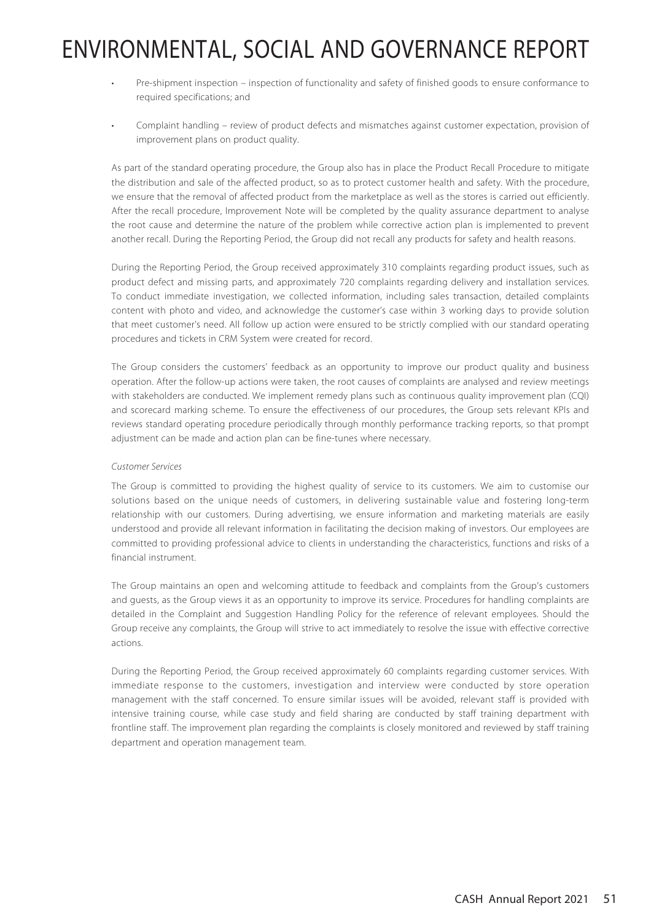- Pre-shipment inspection inspection of functionality and safety of finished goods to ensure conformance to required specifications; and
- Complaint handling review of product defects and mismatches against customer expectation, provision of improvement plans on product quality.

As part of the standard operating procedure, the Group also has in place the Product Recall Procedure to mitigate the distribution and sale of the affected product, so as to protect customer health and safety. With the procedure, we ensure that the removal of affected product from the marketplace as well as the stores is carried out efficiently. After the recall procedure, Improvement Note will be completed by the quality assurance department to analyse the root cause and determine the nature of the problem while corrective action plan is implemented to prevent another recall. During the Reporting Period, the Group did not recall any products for safety and health reasons.

During the Reporting Period, the Group received approximately 310 complaints regarding product issues, such as product defect and missing parts, and approximately 720 complaints regarding delivery and installation services. To conduct immediate investigation, we collected information, including sales transaction, detailed complaints content with photo and video, and acknowledge the customer's case within 3 working days to provide solution that meet customer's need. All follow up action were ensured to be strictly complied with our standard operating procedures and tickets in CRM System were created for record.

The Group considers the customers' feedback as an opportunity to improve our product quality and business operation. After the follow-up actions were taken, the root causes of complaints are analysed and review meetings with stakeholders are conducted. We implement remedy plans such as continuous quality improvement plan (CQI) and scorecard marking scheme. To ensure the effectiveness of our procedures, the Group sets relevant KPIs and reviews standard operating procedure periodically through monthly performance tracking reports, so that prompt adjustment can be made and action plan can be fine-tunes where necessary.

### Customer Services

The Group is committed to providing the highest quality of service to its customers. We aim to customise our solutions based on the unique needs of customers, in delivering sustainable value and fostering long-term relationship with our customers. During advertising, we ensure information and marketing materials are easily understood and provide all relevant information in facilitating the decision making of investors. Our employees are committed to providing professional advice to clients in understanding the characteristics, functions and risks of a financial instrument.

The Group maintains an open and welcoming attitude to feedback and complaints from the Group's customers and guests, as the Group views it as an opportunity to improve its service. Procedures for handling complaints are detailed in the Complaint and Suggestion Handling Policy for the reference of relevant employees. Should the Group receive any complaints, the Group will strive to act immediately to resolve the issue with effective corrective actions.

During the Reporting Period, the Group received approximately 60 complaints regarding customer services. With immediate response to the customers, investigation and interview were conducted by store operation management with the staff concerned. To ensure similar issues will be avoided, relevant staff is provided with intensive training course, while case study and field sharing are conducted by staff training department with frontline staff. The improvement plan regarding the complaints is closely monitored and reviewed by staff training department and operation management team.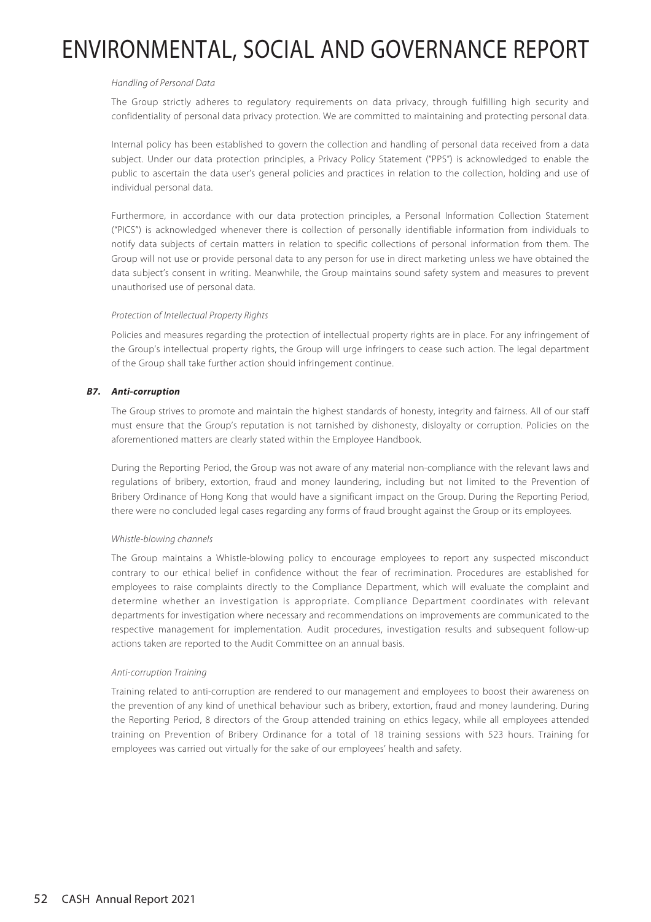#### Handling of Personal Data

The Group strictly adheres to regulatory requirements on data privacy, through fulfilling high security and confidentiality of personal data privacy protection. We are committed to maintaining and protecting personal data.

Internal policy has been established to govern the collection and handling of personal data received from a data subject. Under our data protection principles, a Privacy Policy Statement ("PPS") is acknowledged to enable the public to ascertain the data user's general policies and practices in relation to the collection, holding and use of individual personal data.

Furthermore, in accordance with our data protection principles, a Personal Information Collection Statement ("PICS") is acknowledged whenever there is collection of personally identifiable information from individuals to notify data subjects of certain matters in relation to specific collections of personal information from them. The Group will not use or provide personal data to any person for use in direct marketing unless we have obtained the data subject's consent in writing. Meanwhile, the Group maintains sound safety system and measures to prevent unauthorised use of personal data.

#### Protection of Intellectual Property Rights

Policies and measures regarding the protection of intellectual property rights are in place. For any infringement of the Group's intellectual property rights, the Group will urge infringers to cease such action. The legal department of the Group shall take further action should infringement continue.

### **B7. Anti-corruption**

The Group strives to promote and maintain the highest standards of honesty, integrity and fairness. All of our staff must ensure that the Group's reputation is not tarnished by dishonesty, disloyalty or corruption. Policies on the aforementioned matters are clearly stated within the Employee Handbook.

During the Reporting Period, the Group was not aware of any material non-compliance with the relevant laws and regulations of bribery, extortion, fraud and money laundering, including but not limited to the Prevention of Bribery Ordinance of Hong Kong that would have a significant impact on the Group. During the Reporting Period, there were no concluded legal cases regarding any forms of fraud brought against the Group or its employees.

### Whistle-blowing channels

The Group maintains a Whistle-blowing policy to encourage employees to report any suspected misconduct contrary to our ethical belief in confidence without the fear of recrimination. Procedures are established for employees to raise complaints directly to the Compliance Department, which will evaluate the complaint and determine whether an investigation is appropriate. Compliance Department coordinates with relevant departments for investigation where necessary and recommendations on improvements are communicated to the respective management for implementation. Audit procedures, investigation results and subsequent follow-up actions taken are reported to the Audit Committee on an annual basis.

### Anti-corruption Training

Training related to anti-corruption are rendered to our management and employees to boost their awareness on the prevention of any kind of unethical behaviour such as bribery, extortion, fraud and money laundering. During the Reporting Period, 8 directors of the Group attended training on ethics legacy, while all employees attended training on Prevention of Bribery Ordinance for a total of 18 training sessions with 523 hours. Training for employees was carried out virtually for the sake of our employees' health and safety.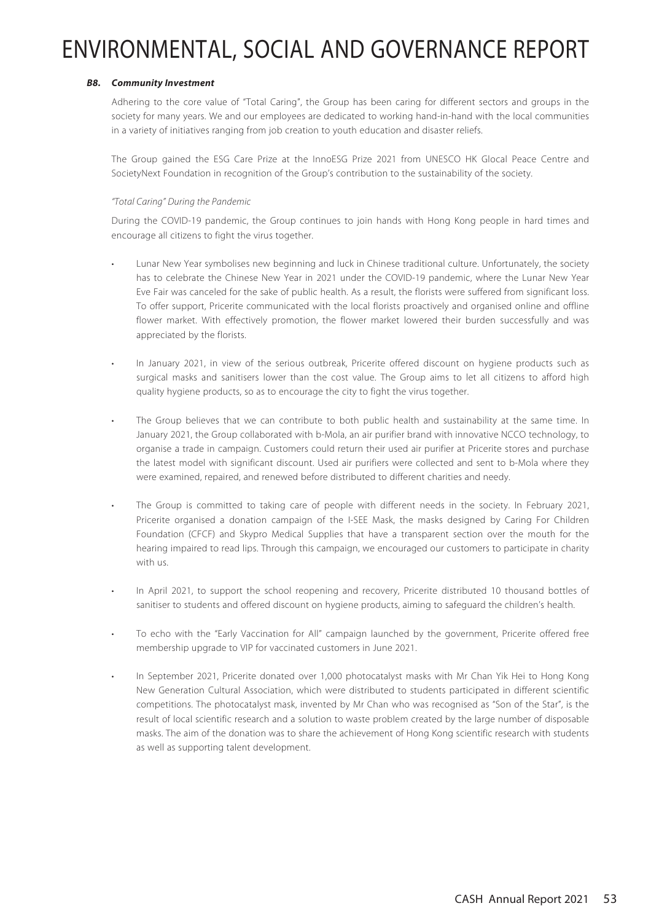### **B8. Community Investment**

Adhering to the core value of "Total Caring", the Group has been caring for different sectors and groups in the society for many years. We and our employees are dedicated to working hand-in-hand with the local communities in a variety of initiatives ranging from job creation to youth education and disaster reliefs.

The Group gained the ESG Care Prize at the InnoESG Prize 2021 from UNESCO HK Glocal Peace Centre and SocietyNext Foundation in recognition of the Group's contribution to the sustainability of the society.

### "Total Caring" During the Pandemic

During the COVID-19 pandemic, the Group continues to join hands with Hong Kong people in hard times and encourage all citizens to fight the virus together.

- Lunar New Year symbolises new beginning and luck in Chinese traditional culture. Unfortunately, the society has to celebrate the Chinese New Year in 2021 under the COVID-19 pandemic, where the Lunar New Year Eve Fair was canceled for the sake of public health. As a result, the florists were suffered from significant loss. To offer support, Pricerite communicated with the local florists proactively and organised online and offline flower market. With effectively promotion, the flower market lowered their burden successfully and was appreciated by the florists.
- In January 2021, in view of the serious outbreak, Pricerite offered discount on hygiene products such as surgical masks and sanitisers lower than the cost value. The Group aims to let all citizens to afford high quality hygiene products, so as to encourage the city to fight the virus together.
- The Group believes that we can contribute to both public health and sustainability at the same time. In January 2021, the Group collaborated with b-Mola, an air purifier brand with innovative NCCO technology, to organise a trade in campaign. Customers could return their used air purifier at Pricerite stores and purchase the latest model with significant discount. Used air purifiers were collected and sent to b-Mola where they were examined, repaired, and renewed before distributed to different charities and needy.
- The Group is committed to taking care of people with different needs in the society. In February 2021, Pricerite organised a donation campaign of the I-SEE Mask, the masks designed by Caring For Children Foundation (CFCF) and Skypro Medical Supplies that have a transparent section over the mouth for the hearing impaired to read lips. Through this campaign, we encouraged our customers to participate in charity with us.
- In April 2021, to support the school reopening and recovery, Pricerite distributed 10 thousand bottles of sanitiser to students and offered discount on hygiene products, aiming to safeguard the children's health.
- To echo with the "Early Vaccination for All" campaign launched by the government, Pricerite offered free membership upgrade to VIP for vaccinated customers in June 2021.
- In September 2021, Pricerite donated over 1,000 photocatalyst masks with Mr Chan Yik Hei to Hong Kong New Generation Cultural Association, which were distributed to students participated in different scientific competitions. The photocatalyst mask, invented by Mr Chan who was recognised as "Son of the Star", is the result of local scientific research and a solution to waste problem created by the large number of disposable masks. The aim of the donation was to share the achievement of Hong Kong scientific research with students as well as supporting talent development.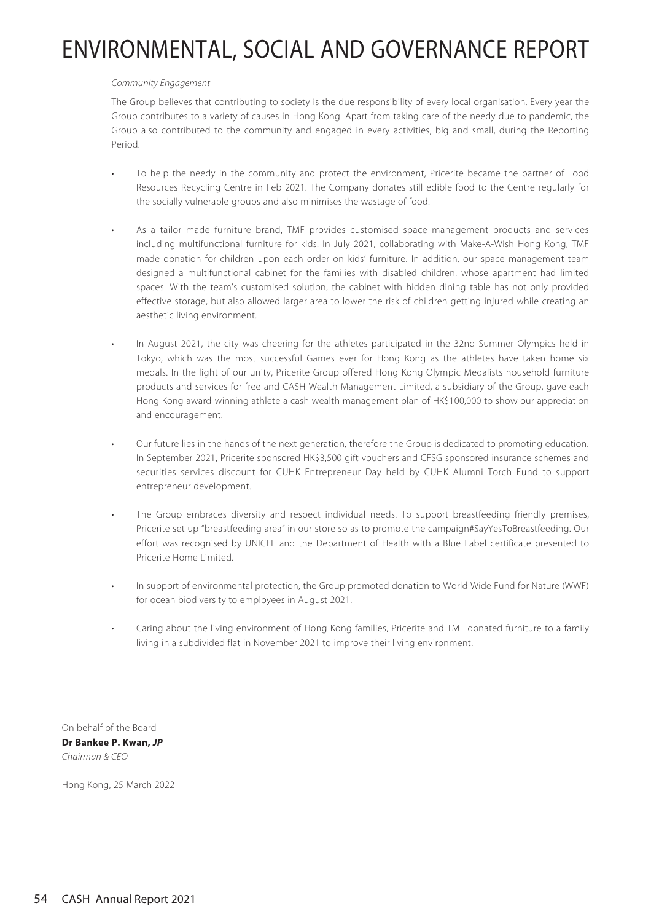#### Community Engagement

The Group believes that contributing to society is the due responsibility of every local organisation. Every year the Group contributes to a variety of causes in Hong Kong. Apart from taking care of the needy due to pandemic, the Group also contributed to the community and engaged in every activities, big and small, during the Reporting Period.

- To help the needy in the community and protect the environment, Pricerite became the partner of Food Resources Recycling Centre in Feb 2021. The Company donates still edible food to the Centre regularly for the socially vulnerable groups and also minimises the wastage of food.
- As a tailor made furniture brand, TMF provides customised space management products and services including multifunctional furniture for kids. In July 2021, collaborating with Make-A-Wish Hong Kong, TMF made donation for children upon each order on kids' furniture. In addition, our space management team designed a multifunctional cabinet for the families with disabled children, whose apartment had limited spaces. With the team's customised solution, the cabinet with hidden dining table has not only provided effective storage, but also allowed larger area to lower the risk of children getting injured while creating an aesthetic living environment.
- In August 2021, the city was cheering for the athletes participated in the 32nd Summer Olympics held in Tokyo, which was the most successful Games ever for Hong Kong as the athletes have taken home six medals. In the light of our unity, Pricerite Group offered Hong Kong Olympic Medalists household furniture products and services for free and CASH Wealth Management Limited, a subsidiary of the Group, gave each Hong Kong award-winning athlete a cash wealth management plan of HK\$100,000 to show our appreciation and encouragement.
- Our future lies in the hands of the next generation, therefore the Group is dedicated to promoting education. In September 2021, Pricerite sponsored HK\$3,500 gift vouchers and CFSG sponsored insurance schemes and securities services discount for CUHK Entrepreneur Day held by CUHK Alumni Torch Fund to support entrepreneur development.
- The Group embraces diversity and respect individual needs. To support breastfeeding friendly premises, Pricerite set up "breastfeeding area" in our store so as to promote the campaign#SayYesToBreastfeeding. Our effort was recognised by UNICEF and the Department of Health with a Blue Label certificate presented to Pricerite Home Limited.
- In support of environmental protection, the Group promoted donation to World Wide Fund for Nature (WWF) for ocean biodiversity to employees in August 2021.
- Caring about the living environment of Hong Kong families, Pricerite and TMF donated furniture to a family living in a subdivided flat in November 2021 to improve their living environment.

On behalf of the Board **Dr Bankee P. Kwan, JP** Chairman & CEO

Hong Kong, 25 March 2022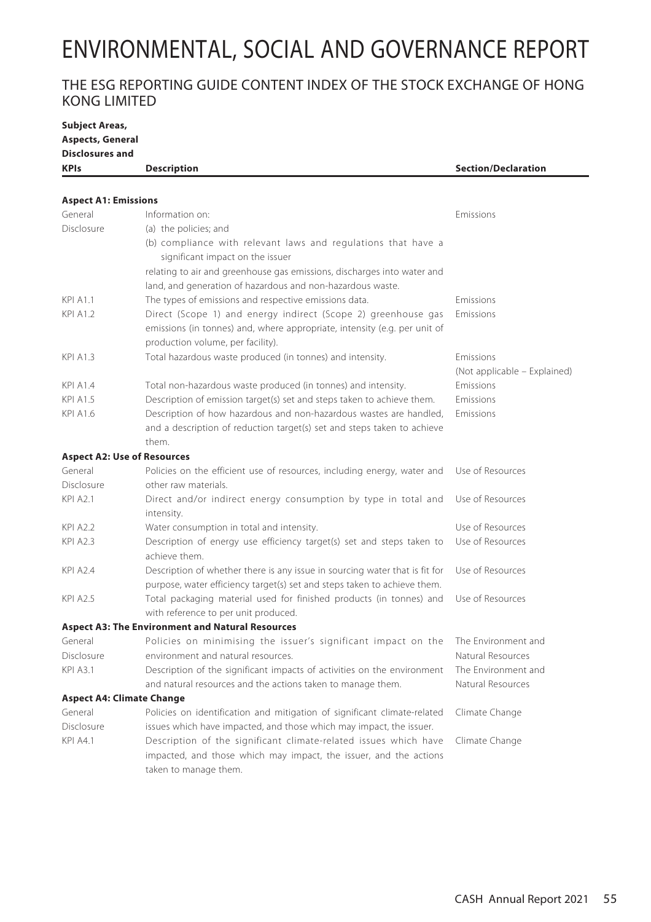## THE ESG REPORTING GUIDE CONTENT INDEX OF THE STOCK EXCHANGE OF HONG KONG LIMITED

| <b>Subject Areas,</b>              |                                                                                                                                                                                 |                              |
|------------------------------------|---------------------------------------------------------------------------------------------------------------------------------------------------------------------------------|------------------------------|
| <b>Aspects, General</b>            |                                                                                                                                                                                 |                              |
| <b>Disclosures and</b>             |                                                                                                                                                                                 |                              |
| <b>KPIs</b>                        | <b>Description</b>                                                                                                                                                              | <b>Section/Declaration</b>   |
|                                    |                                                                                                                                                                                 |                              |
| <b>Aspect A1: Emissions</b>        |                                                                                                                                                                                 |                              |
| General                            | Information on:                                                                                                                                                                 | Emissions                    |
| Disclosure                         | (a) the policies; and                                                                                                                                                           |                              |
|                                    | (b) compliance with relevant laws and regulations that have a<br>significant impact on the issuer                                                                               |                              |
|                                    | relating to air and greenhouse gas emissions, discharges into water and                                                                                                         |                              |
|                                    | land, and generation of hazardous and non-hazardous waste.                                                                                                                      |                              |
| <b>KPI A1.1</b>                    | The types of emissions and respective emissions data.                                                                                                                           | Emissions                    |
| <b>KPI A1.2</b>                    | Direct (Scope 1) and energy indirect (Scope 2) greenhouse gas<br>emissions (in tonnes) and, where appropriate, intensity (e.g. per unit of<br>production volume, per facility). | Emissions                    |
| <b>KPI A1.3</b>                    | Total hazardous waste produced (in tonnes) and intensity.                                                                                                                       | Emissions                    |
|                                    |                                                                                                                                                                                 | (Not applicable – Explained) |
| <b>KPI A1.4</b>                    | Total non-hazardous waste produced (in tonnes) and intensity.                                                                                                                   | Emissions                    |
| <b>KPI A1.5</b>                    | Description of emission target(s) set and steps taken to achieve them.                                                                                                          | <b>Emissions</b>             |
| <b>KPI A1.6</b>                    | Description of how hazardous and non-hazardous wastes are handled,                                                                                                              | Emissions                    |
|                                    | and a description of reduction target(s) set and steps taken to achieve<br>them.                                                                                                |                              |
| <b>Aspect A2: Use of Resources</b> |                                                                                                                                                                                 |                              |
| General                            | Policies on the efficient use of resources, including energy, water and                                                                                                         | Use of Resources             |
| Disclosure                         | other raw materials.                                                                                                                                                            |                              |
| <b>KPI A2.1</b>                    | Direct and/or indirect energy consumption by type in total and<br>intensity.                                                                                                    | Use of Resources             |
| <b>KPI A2.2</b>                    | Water consumption in total and intensity.                                                                                                                                       | Use of Resources             |
| <b>KPI A2.3</b>                    | Description of energy use efficiency target(s) set and steps taken to<br>achieve them.                                                                                          | Use of Resources             |
| <b>KPI A2.4</b>                    | Description of whether there is any issue in sourcing water that is fit for<br>purpose, water efficiency target(s) set and steps taken to achieve them.                         | Use of Resources             |
| <b>KPI A2.5</b>                    | Total packaging material used for finished products (in tonnes) and<br>with reference to per unit produced.                                                                     | Use of Resources             |
|                                    | <b>Aspect A3: The Environment and Natural Resources</b>                                                                                                                         |                              |
| General                            | Policies on minimising the issuer's significant impact on the                                                                                                                   | The Environment and          |
| Disclosure                         | environment and natural resources.                                                                                                                                              | Natural Resources            |
| <b>KPI A3.1</b>                    | Description of the significant impacts of activities on the environment                                                                                                         | The Environment and          |
|                                    | and natural resources and the actions taken to manage them.                                                                                                                     | Natural Resources            |
| <b>Aspect A4: Climate Change</b>   |                                                                                                                                                                                 |                              |
| General                            | Policies on identification and mitigation of significant climate-related                                                                                                        | Climate Change               |
| Disclosure                         | issues which have impacted, and those which may impact, the issuer.                                                                                                             |                              |
| <b>KPI A4.1</b>                    | Description of the significant climate-related issues which have                                                                                                                | Climate Change               |
|                                    | impacted, and those which may impact, the issuer, and the actions<br>taken to manage them.                                                                                      |                              |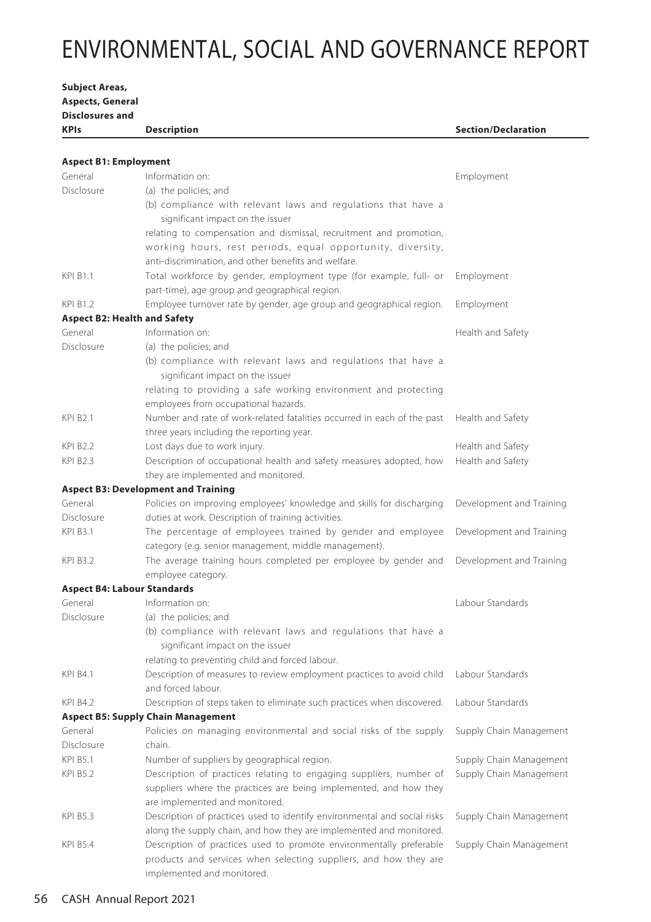**Aspects, General Disclosures and KPIs Description Section/Declaration Aspect B1: Employment** General Disclosure Information on: (a) the policies; and (b) compliance with relevant laws and regulations that have a significant impact on the issuer relating to compensation and dismissal, recruitment and promotion, working hours, rest periods, equal opportunity, diversity, anti-discrimination, and other benefits and welfare. Employment KPI B1.1 Total workforce by gender, employment type (for example, full- or part-time), age group and geographical region. Employment KPI B1.2 Employee turnover rate by gender, age group and geographical region. Employment **Aspect B2: Health and Safety** General Disclosure Information on: (a) the policies; and (b) compliance with relevant laws and regulations that have a significant impact on the issuer relating to providing a safe working environment and protecting employees from occupational hazards. Health and Safety KPI B2.1 Number and rate of work-related fatalities occurred in each of the past three years including the reporting year. Health and Safety KPI B2.2 Lost days due to work injury. Lost the state of the Health and Safety KPI B2.3 Description of occupational health and safety measures adopted, how they are implemented and monitored. Health and Safety **Aspect B3: Development and Training** General Disclosure Policies on improving employees' knowledge and skills for discharging duties at work. Description of training activities. Development and Training KPI B3.1 The percentage of employees trained by gender and employee category (e.g. senior management, middle management). Development and Training KPI B3.2 The average training hours completed per employee by gender and employee category. Development and Training **Aspect B4: Labour Standards** General Disclosure Information on: (a) the policies; and (b) compliance with relevant laws and regulations that have a significant impact on the issuer relating to preventing child and forced labour. Labour Standards KPI B4.1 Description of measures to review employment practices to avoid child and forced labour. Labour Standards KPI B4.2 Description of steps taken to eliminate such practices when discovered. Labour Standards **Aspect B5: Supply Chain Management** General Disclosure Policies on managing environmental and social risks of the supply chain. Supply Chain Management KPI B5.1 Number of suppliers by geographical region. Supply Chain Management KPI B5.2 Description of practices relating to engaging suppliers, number of suppliers where the practices are being implemented, and how they are implemented and monitored. Supply Chain Management KPI B5.3 Description of practices used to identify environmental and social risks along the supply chain, and how they are implemented and monitored. Supply Chain Management KPI B5.4 Description of practices used to promote environmentally preferable products and services when selecting suppliers, and how they are implemented and monitored. Supply Chain Management

**Subject Areas,**